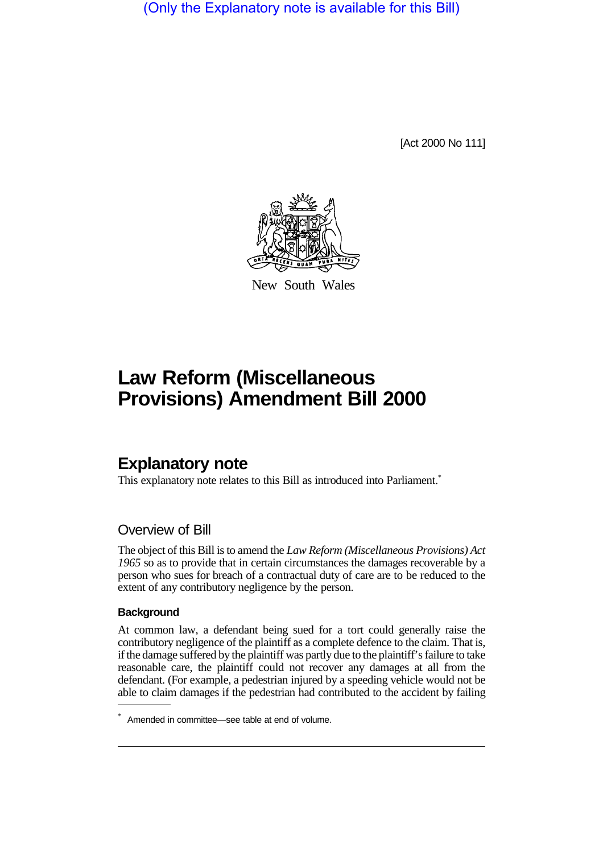(Only the Explanatory note is available for this Bill)

[Act 2000 No 111]



New South Wales

# **Law Reform (Miscellaneous Provisions) Amendment Bill 2000**

## **Explanatory note**

This explanatory note relates to this Bill as introduced into Parliament.<sup>\*</sup>

### Overview of Bill

The object of this Bill is to amend the *Law Reform (Miscellaneous Provisions) Act 1965* so as to provide that in certain circumstances the damages recoverable by a person who sues for breach of a contractual duty of care are to be reduced to the extent of any contributory negligence by the person.

#### **Background**

At common law, a defendant being sued for a tort could generally raise the contributory negligence of the plaintiff as a complete defence to the claim. That is, if the damage suffered by the plaintiff was partly due to the plaintiff's failure to take reasonable care, the plaintiff could not recover any damages at all from the defendant. (For example, a pedestrian injured by a speeding vehicle would not be able to claim damages if the pedestrian had contributed to the accident by failing

<sup>\*</sup> Amended in committee—see table at end of volume.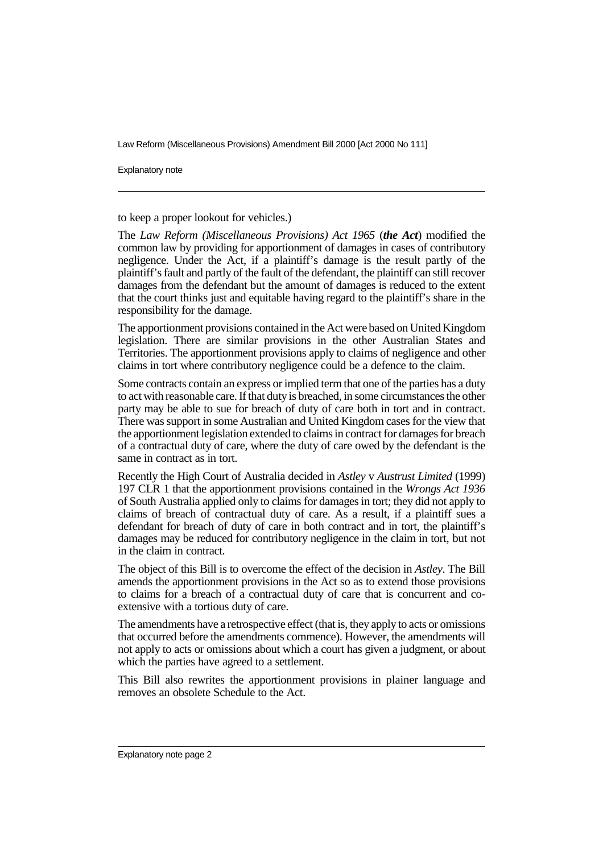Law Reform (Miscellaneous Provisions) Amendment Bill 2000 [Act 2000 No 111]

Explanatory note

to keep a proper lookout for vehicles.)

The *Law Reform (Miscellaneous Provisions) Act 1965* (*the Act*) modified the common law by providing for apportionment of damages in cases of contributory negligence. Under the Act, if a plaintiff's damage is the result partly of the plaintiff's fault and partly of the fault of the defendant, the plaintiff can still recover damages from the defendant but the amount of damages is reduced to the extent that the court thinks just and equitable having regard to the plaintiff's share in the responsibility for the damage.

The apportionment provisions contained in the Act were based on United Kingdom legislation. There are similar provisions in the other Australian States and Territories. The apportionment provisions apply to claims of negligence and other claims in tort where contributory negligence could be a defence to the claim.

Some contracts contain an express or implied term that one of the parties has a duty to act with reasonable care. If that duty is breached, in some circumstances the other party may be able to sue for breach of duty of care both in tort and in contract. There was support in some Australian and United Kingdom cases for the view that the apportionment legislation extended to claims in contract for damages for breach of a contractual duty of care, where the duty of care owed by the defendant is the same in contract as in tort.

Recently the High Court of Australia decided in *Astley* v *Austrust Limited* (1999) 197 CLR 1 that the apportionment provisions contained in the *Wrongs Act 1936* of South Australia applied only to claims for damages in tort; they did not apply to claims of breach of contractual duty of care. As a result, if a plaintiff sues a defendant for breach of duty of care in both contract and in tort, the plaintiff's damages may be reduced for contributory negligence in the claim in tort, but not in the claim in contract.

The object of this Bill is to overcome the effect of the decision in *Astley*. The Bill amends the apportionment provisions in the Act so as to extend those provisions to claims for a breach of a contractual duty of care that is concurrent and coextensive with a tortious duty of care.

The amendments have a retrospective effect (that is, they apply to acts or omissions that occurred before the amendments commence). However, the amendments will not apply to acts or omissions about which a court has given a judgment, or about which the parties have agreed to a settlement.

This Bill also rewrites the apportionment provisions in plainer language and removes an obsolete Schedule to the Act.